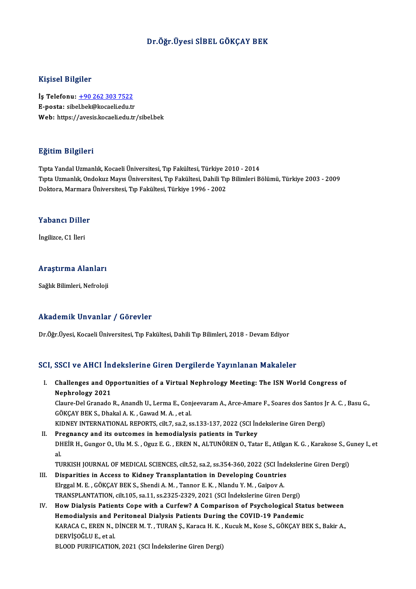#### Dr.Öğr.Üyesi SİBEL GÖKÇAY BEK

#### Kişisel Bilgiler

Kişisel Bilgiler<br>İş Telefonu: <u>+90 262 303 7522</u><br>E nasta: sibel bek@kasali edu tr 11191001 D1191101<br>İş Telefonu: <u>+90 262 303 7522</u><br>E-posta: sibe[l.bek@kocaeli.edu.tr](tel:+90 262 303 7522) E-posta: sibel.bek@kocaeli.edu.tr<br>Web: https://avesis.kocaeli.edu.tr/sibel.bek

#### Eğitim Bilgileri

TıptaYandalUzmanlık,KocaeliÜniversitesi,Tıp Fakültesi,Türkiye 2010 -2014 Eşitim Birgirori<br>Tıpta Yandal Uzmanlık, Kocaeli Üniversitesi, Tıp Fakültesi, Türkiye 2010 - 2014<br>Tıpta Uzmanlık, Ondokuz Mayıs Üniversitesi, Tıp Fakültesi, Dahili Tıp Bilimleri Bölümü, Türkiye 2003 - 2009<br>Doktora Marmara Ü Tıpta Yandal Uzmanlık, Kocaeli Üniversitesi, Tıp Fakültesi, Türkiye 2<br>Tıpta Uzmanlık, Ondokuz Mayıs Üniversitesi, Tıp Fakültesi, Dahili Tı<sub>l</sub><br>Doktora, Marmara Üniversitesi, Tıp Fakültesi, Türkiye 1996 - 2002 Doktora, Marmara Üniversitesi, Tıp Fakültesi, Türkiye 1996 - 2002<br>Yabancı Diller

İngilizce, C1 İleri

#### Araştırma Alanları

Sağlık Bilimleri, Nefroloji

#### Akademik Unvanlar / Görevler

Dr.Öğr.Üyesi, Kocaeli Üniversitesi, Tıp Fakültesi, Dahili Tıp Bilimleri, 2018 - Devam Ediyor

#### SCI, SSCI ve AHCI İndekslerine Giren Dergilerde Yayınlanan Makaleler

I. Challenges and Opportunities of a Virtual Nephrology Meeting: The ISN World Congress of Nephrology 2021 Challenges and Opportunities of a Virtual Nephrology Meeting: The ISN World Congress of<br>Nephrology 2021<br>Claure-Del Granado R., Anandh U., Lerma E., Conjeevaram A., Arce-Amare F., Soares dos Santos Jr A. C. , Basu G.,<br>CÖKCA

Nephrology 2021<br>Claure-Del Granado R., Anandh U., Lerma E., Con<br>GÖKÇAY BEK S., Dhakal A. K. , Gawad M. A. , et al.<br>KIDNEY INTERNATIONAL REPORTS. silt 7, sa 2, s Claure-Del Granado R., Anandh U., Lerma E., Conjeevaram A., Arce-Amare F., Soares dos Santos J<br>GÖKÇAY BEK S., Dhakal A. K. , Gawad M. A. , et al.<br>KIDNEY INTERNATIONAL REPORTS, cilt.7, sa.2, ss.133-137, 2022 (SCI İndeksleri

GÖKÇAY BEK S., Dhakal A. K. , Gawad M. A. , et al.<br>KIDNEY INTERNATIONAL REPORTS, cilt.7, sa.2, ss.133-137, 2022 (SCI İndekslerine Giren Dergi)<br>II. Pregnancy and its outcomes in hemodialysis patients in Turkey KIDNEY INTERNATIONAL REPORTS, cilt.7, sa.2, ss.133-137, 2022 (SCI İndekslerine Giren Dergi)<br><mark>Pregnancy and its outcomes in hemodialysis patients in Turkey</mark><br>DHEİR H., Gungor O., Ulu M. S. , Oguz E. G. , EREN N., ALTUNÖREN O Pr<br>DH<br>al.<br>TU DHEİR H., Gungor O., Ulu M. S. , Oguz E. G. , EREN N., ALTUNÖREN O., Tatar E., Atilgan K. G. , Karakose S., G<br>al.<br>TURKISH JOURNAL OF MEDICAL SCIENCES, cilt.52, sa.2, ss.354-360, 2022 (SCI İndekslerine Giren Dergi)<br>Disposit al.<br>TURKISH JOURNAL OF MEDICAL SCIENCES, cilt.52, sa.2, ss.354-360, 2022 (SCI İndekslerine Giren Dergi)<br>III. Disparities in Access to Kidney Transplantation in Developing Countries

- TURKISH JOURNAL OF MEDICAL SCIENCES, cilt.52, sa.2, ss.354-360, 2022 (SCI Ind<br>Disparities in Access to Kidney Transplantation in Developing Countries<br>Elrggal M. E. , GÖKÇAY BEK S., Shendi A. M. , Tannor E. K. , Nlandu Y. M Disparities in Access to Kidney Transplantation in Developing Countries<br>Elrggal M. E., GÖKÇAY BEK S., Shendi A. M., Tannor E. K., Nlandu Y. M., Gaipov A.<br>TRANSPLANTATION, cilt.105, sa.11, ss.2325-2329, 2021 (SCI İndeksleri Elrggal M. E., GÖKÇAY BEK S., Shendi A. M., Tannor E. K., Nlandu Y. M., Gaipov A.<br>TRANSPLANTATION, cilt.105, sa.11, ss.2325-2329, 2021 (SCI İndekslerine Giren Dergi)<br>IV. How Dialysis Patients Cope with a Curfew? A Comparis
- TRANSPLANTATION, cilt.105, sa.11, ss.2325-2329, 2021 (SCI İndekslerine Giren Dergi)<br>How Dialysis Patients Cope with a Curfew? A Comparison of Psychological Sta<br>Hemodialysis and Peritoneal Dialysis Patients During the COVID How Dialysis Patients Cope with a Curfew? A Comparison of Psychological Status between<br>Hemodialysis and Peritoneal Dialysis Patients During the COVID-19 Pandemic<br>KARACA C., EREN N., DİNCER M. T. , TURAN Ş., Karaca H. K. , Hemodialysis and Peritoneal Dialysis Patients During the COVID-19 Pandemic<br>KARACA C., EREN N., DINCER M. T. , TURAN Ş., Karaca H. K. , Kucuk M., Kose S., GÖKÇAY BEK S., Bakir A.,<br>DERVİSOĞLU E., et al. BLOOD PURIFICATION, 2021 (SCI İndekslerine Giren Dergi)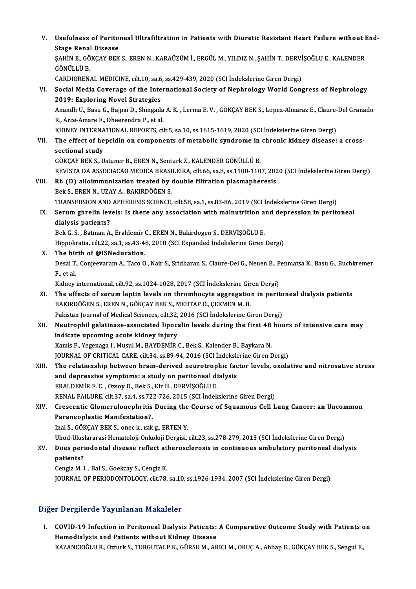| V.    | Usefulness of Peritoneal Ultrafiltration in Patients with Diuretic Resistant Heart Failure without End-<br><b>Stage Renal Disease</b>                       |
|-------|-------------------------------------------------------------------------------------------------------------------------------------------------------------|
|       | ŞAHİN E., GÖKÇAY BEK S., EREN N., KARAÜZÜM İ., ERGÜL M., YILDIZ N., ŞAHİN T., DERVİŞOĞLU E., KALENDER<br>GÖNÜLLÜ B.                                         |
|       | CARDIORENAL MEDICINE, cilt.10, sa.6, ss.429-439, 2020 (SCI Indekslerine Giren Dergi)                                                                        |
| VI.   | Social Media Coverage of the International Society of Nephrology World Congress of Nephrology<br>2019: Exploring Novel Strategies                           |
|       | Anandh U., Basu G., Bajpai D., Shingada A. K., Lerma E. V., GÖKÇAY BEK S., Lopez-Almaraz E., Claure-Del Granado<br>R., Arce-Amare F., Dheerendra P., et al. |
|       | KIDNEY INTERNATIONAL REPORTS, cilt.5, sa.10, ss.1615-1619, 2020 (SCI İndekslerine Giren Dergi)                                                              |
| VII.  | The effect of hepcidin on components of metabolic syndrome in chronic kidney disease: a cross-<br>sectional study                                           |
|       | GÖKÇAY BEK S., Ustuner B., EREN N., Senturk Z., KALENDER GÖNÜLLÜ B.                                                                                         |
|       | REVISTA DA ASSOCIACAO MEDICA BRASILEIRA, cilt.66, sa.8, ss.1100-1107, 2020 (SCI İndekslerine Giren Dergi)                                                   |
| VIII. | Rh (D) alloimmunization treated by double filtration plasmapheresis                                                                                         |
|       | Bek S., EREN N., UZAY A., BAKIRDÖĞEN S.                                                                                                                     |
|       | TRANSFUSION AND APHERESIS SCIENCE, cilt.58, sa.1, ss.83-86, 2019 (SCI Indekslerine Giren Dergi)                                                             |
| IX.   | Serum ghrelin levels: Is there any association with malnutrition and depression in peritoneal                                                               |
|       | dialysis patients?                                                                                                                                          |
|       | Bek G. S., Batman A., Eraldemir C., EREN N., Bakirdogen S., DERVİŞOĞLU E.                                                                                   |
|       | Hippokratia, cilt.22, sa.1, ss.43-48, 2018 (SCI Expanded Indekslerine Giren Dergi)                                                                          |
| Х.    | The birth of @ISNeducation.                                                                                                                                 |
|       | Desai T., Conjeevaram A., Taco O., Nair S., Sridharan S., Claure-Del G., Neuen B., Penmatsa K., Basu G., Buchkremer<br>F, et al.                            |
|       | Kidney international, cilt 92, ss.1024-1028, 2017 (SCI İndekslerine Giren Dergi)                                                                            |
| XI.   | The effects of serum leptin levels on thrombocyte aggregation in peritoneal dialysis patients                                                               |
|       | BAKIRDÖĞEN S., EREN N., GÖKÇAY BEK S., MEHTAP Ö., ÇEKMEN M. B.                                                                                              |
|       | Pakistan Journal of Medical Sciences, cilt.32, 2016 (SCI İndekslerine Giren Dergi)                                                                          |
|       | XII. Neutrophil gelatinase-associated lipocalin levels during the first 48 hours of intensive care may                                                      |
|       | indicate upcoming acute kidney injury                                                                                                                       |
|       | Kamis F., Yegenaga I., Musul M., BAYDEMİR C., Bek S., Kalender B., Baykara N.                                                                               |
|       | JOURNAL OF CRITICAL CARE, cilt.34, ss.89-94, 2016 (SCI Indekslerine Giren Dergi)                                                                            |
| XIII. | The relationship between brain-derived neurotrophic factor levels, oxidative and nitrosative stress                                                         |
|       | and depressive symptoms: a study on peritoneal dialysis                                                                                                     |
|       | ERALDEMİR F. C., Ozsoy D., Bek S., Kir H., DERVİŞOĞLU E.                                                                                                    |
|       | RENAL FAILURE, cilt.37, sa.4, ss.722-726, 2015 (SCI Indekslerine Giren Dergi)                                                                               |
| XIV.  | Crescentic Glomerulonephritis During the Course of Squamous Cell Lung Cancer: an Uncommon                                                                   |
|       | Paraneoplastic Manifestation?.                                                                                                                              |
|       | Inal S., GÖKÇAY BEK S., onec k., ısık g., ERTEN Y.                                                                                                          |
|       | Uhod-Uluslararasi Hematoloji-Onkoloji Dergisi, cilt.23, ss.278-279, 2013 (SCI İndekslerine Giren Dergi)                                                     |
| XV.   | Does periodontal disease reflect atherosclerosis in continuous ambulatory peritoneal dialysis                                                               |
|       | patients?                                                                                                                                                   |
|       | Cengiz M. I., Bal S., Goekcay S., Cengiz K.                                                                                                                 |
|       | JOURNAL OF PERIODONTOLOGY, cilt.78, sa.10, ss.1926-1934, 2007 (SCI İndekslerine Giren Dergi)                                                                |

### Diğer Dergilerde Yayınlanan Makaleler

I. COVID-19 Infection in Peritoneal Dialysis Patients: A Comparative Outcome Study with Patients on Hemodialysis and Patients without Kidney Disease KAZANCIOĞLU R., Ozturk S., TURGUTALP K., GÜRSU M., ARICI M., ORUÇ A., Ahbap E., GÖKÇAY BEK S., Sengul E.,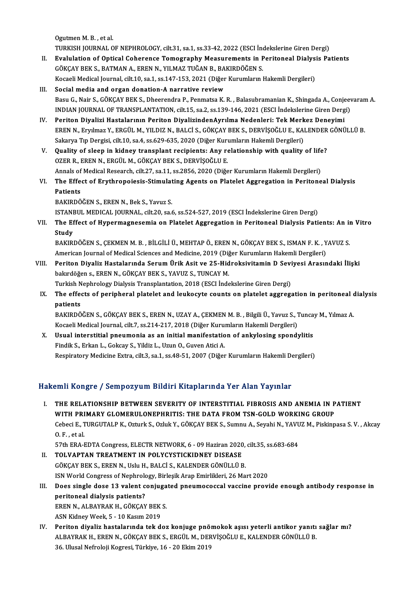Ogutmen M.B., et al. Ogutmen M. B. , et al.<br>TURKISH JOURNAL OF NEPHROLOGY, cilt.31, sa.1, ss.33-42, 2022 (ESCI İndekslerine Giren Dergi)<br>Fyalulation of Onticel Ceberence Temegranhy Messurements in Periteneal Dialysis Pe Ogutmen M. B. , et al.<br>TURKISH JOURNAL OF NEPHROLOGY, cilt.31, sa.1, ss.33-42, 2022 (ESCI İndekslerine Giren Dergi)<br>II. Evalulation of Optical Coherence Tomography Measurements in Peritoneal Dialysis Patients<br>CÖYCAV PEV S.

- TURKISH JOURNAL OF NEPHROLOGY, cilt.31, sa.1, ss.33-42, 2022 (ESCI İnc<br>Evalulation of Optical Coherence Tomography Measurements in F<br>GÖKÇAY BEK S., BATMAN A., EREN N., YILMAZ TUĞAN B., BAKIRDÖĞEN S.<br>Kosseli Medisel Jaunnal Evalulation of Optical Coherence Tomography Measurements in Peritoneal Dialys:<br>GÖKÇAY BEK S., BATMAN A., EREN N., YILMAZ TUĞAN B., BAKIRDÖĞEN S.<br>Kocaeli Medical Journal, cilt.10, sa.1, ss.147-153, 2021 (Diğer Kurumların Ha GÖKÇAY BEK S., BATMAN A., EREN N., YILMAZ TUĞAN B., BAKIRDÖĞEN S.<br>Kocaeli Medical Journal, cilt.10, sa.1, ss.147-153, 2021 (Diğer Kurumların Hakemli Dergileri)<br>III. Social media and organ donation-A narrative review
- Kocaeli Medical Journal, cilt.10, sa.1, ss.147-153, 2021 (Diğer Kurumların Hakemli Dergileri)<br>S**ocial media and organ donation-A narrative review**<br>Basu G., Nair S., GÖKÇAY BEK S., Dheerendra P., Penmatsa K. R. , Balasubram Social media and organ donation-A narrative review<br>Basu G., Nair S., GÖKÇAY BEK S., Dheerendra P., Penmatsa K. R. , Balasubramanian K., Shingada A., Conjeev<br>INDIAN JOURNAL OF TRANSPLANTATION, cilt.15, sa.2, ss.139-146, 202
- INDIAN JOURNAL OF TRANSPLANTATION, cilt.15, sa.2, ss.139-146, 2021 (ESCI İndekslerine Giren Dergi)<br>IV. Periton DiyalizindenAyrılma Nedenleri: Tek Merkez Deneyimi INDIAN JOURNAL OF TRANSPLANTATION, cilt.15, sa.2, ss.139-146, 2021 (ESCI İndekslerine Giren Dergi)<br>Periton Diyalizi Hastalarının Periton DiyalizindenAyrılma Nedenleri: Tek Merkez Deneyimi<br>EREN N., Eryılmaz Y., ERGÜL M., YI Periton Diyalizi Hastalarının Periton DiyalizindenAyrılma Nedenleri: Tek Merk<br>EREN N., Eryılmaz Y., ERGÜL M., YILDIZ N., BALCİ S., GÖKÇAY BEK S., DERVİŞOĞLU E., KAl<br>Sakarya Tıp Dergisi, cilt.10, sa.4, ss.629-635, 2020 (Diğ EREN N., Eryılmaz Y., ERGÜL M., YILDIZ N., BALCİ S., GÖKÇAY BEK S., DERVİŞOĞLU E., KALENDER<br>Sakarya Tıp Dergisi, cilt.10, sa.4, ss.629-635, 2020 (Diğer Kurumların Hakemli Dergileri)<br>V. Quality of sleep in kidney transplant
- Sakarya Tıp Dergisi, cilt.10, sa.4, ss.629-635, 2020 (Diğer Kurumların Hakemli Dergileri)<br>V. Quality of sleep in kidney transplant recipients: Any relationship with quality of life?<br>OZER R., EREN N., ERGÜL M., GÖKÇAY BEK S Quality of sleep in kidney transplant recipients: Any relationship with quality of life<br>OZER R., EREN N., ERGÜL M., GÖKÇAY BEK S., DERVİŞOĞLU E.<br>Annals of Medical Research, cilt.27, sa.11, ss.2856, 2020 (Diğer Kurumların H OZER R., EREN N., ERGÜL M., GÖKÇAY BEK S., DERVİŞOĞLU E.<br>Annals of Medical Research, cilt.27, sa.11, ss.2856, 2020 (Diğer Kurumların Hakemli Dergileri)<br>VI. The Effect of Erythropoiesis-Stimulating Agents on Platelet Ag
- **Annals of<br>The Effe<br>Patients<br>PAKIPDÖ** The Effect of Erythropoiesis-Stimulat<br>Patients<br>BAKIRDÖĞEN S., EREN N., Bek S., Yavuz S.<br>ISTANPUL MEDICAL JOURNAL si<sup>15-20</sup> 82.4 Patients<br>BAKIRDÖĞEN S., EREN N., Bek S., Yavuz S.<br>ISTANBUL MEDICAL JOURNAL, cilt.20, sa.6, ss.524-527, 2019 (ESCI İndekslerine Giren Dergi)

BAKIRDÖĞEN S., EREN N., Bek S., Yavuz S.<br>ISTANBUL MEDICAL JOURNAL, cilt.20, sa.6, ss.524-527, 2019 (ESCI İndekslerine Giren Dergi)<br>VII. The Effect of Hypermagnesemia on Platelet Aggregation in Peritoneal Dialysis Patie **ISTANE**<br>The Ef<br>Study The Effect of Hypermagnesemia on Platelet Aggregation in Peritoneal Dialysis Patients: An in<br>Study<br>BAKIRDÖĞEN S., ÇEKMEN M. B. , BİLGİLİ Ü., MEHTAP Ö., EREN N., GÖKÇAY BEK S., ISMAN F. K. , YAVUZ S.<br>American Journal of Med

Study<br>BAKIRDÖĞEN S., ÇEKMEN M. B. , BİLGİLİ Ü., MEHTAP Ö., EREN N., GÖKÇAY BEK S., ISMAN F. K. , YAVUZ S.<br>American Journal of Medical Sciences and Medicine, 2019 (Diğer Kurumların Hakemli Dergileri) BAKIRDÖĞEN S., ÇEKMEN M. B. , BİLGİLİ Ü., MEHTAP Ö., EREN N., GÖKÇAY BEK S., ISMAN F. K. , YAVUZ S.<br>American Journal of Medical Sciences and Medicine, 2019 (Diğer Kurumların Hakemli Dergileri)<br>VIII. Periton Diyaliz Hastala

- American Journal of Medical Sciences and Medicine, 2019 (Diğ<br>Periton Diyaliz Hastalarında Serum Ürik Asit ve 25-Hid<br>bakırdöğen s., EREN N., GÖKÇAY BEK S., YAVUZ S., TUNCAY M.<br>Turkich Nephrelegy Dialysis Transplantation, 20 Periton Diyaliz Hastalarında Serum Ürik Asit ve 25-Hidroksivitamin D Sevi<br>bakırdöğen s., EREN N., GÖKÇAY BEK S., YAVUZ S., TUNCAY M.<br>Turkish Nephrology Dialysis Transplantation, 2018 (ESCI İndekslerine Giren Dergi)<br>The eff Turkish Nephrology Dialysis Transplantation, 2018 (ESCI Indekslerine Giren Dergi)
- bakırdöğen s., EREN N., GÖKÇAY BEK S., YAVUZ S., TUNCAY M.<br>Turkish Nephrology Dialysis Transplantation, 2018 (ESCI İndekslerine Giren Dergi)<br>IX. The effects of peripheral platelet and leukocyte counts on platelet aggregati The effects of peripheral platelet and leukocyte counts on platelet aggregation in peritoneal c<br>patients<br>BAKIRDÖĞEN S., GÖKÇAY BEK S., EREN N., UZAY A., ÇEKMEN M. B. , Bilgili Ü., Yavuz S., Tuncay M., Yılmaz A.<br>Kosaali Mad

patients<br>BAKIRDÖĞEN S., GÖKÇAY BEK S., EREN N., UZAY A., ÇEKMEN M. B. , Bilgili Ü., Yavuz S., 1<br>Kocaeli Medical Journal, cilt.7, ss.214-217, 2018 (Diğer Kurumların Hakemli Dergileri)<br>Havel interstitiel preumenia es an init BAKIRDÖĞEN S., GÖKÇAY BEK S., EREN N., UZAY A., ÇEKMEN M. B. , Bilgili Ü., Yavuz S., Tunca<br>Kocaeli Medical Journal, cilt.7, ss.214-217, 2018 (Diğer Kurumların Hakemli Dergileri)<br>X. Usual interstitial pneumonia as an initia

Kocaeli Medical Journal, cilt.7, ss.214-217, 2018 (Diğer Kurumların Hakemli Dergileri)<br>X. Usual interstitial pneumonia as an initial manifestation of ankylosing spondylitis<br>Findik S., Erkan L., Gokcay S., Yildiz L., Uzun O Respiratory Medicine Extra, cilt.3, sa.1, ss.48-51, 2007 (Diğer Kurumların Hakemli Dergileri)

## Hakemli Kongre / Sempozyum Bildiri Kitaplarında Yer Alan Yayınlar

akemli Kongre / Sempozyum Bildiri Kitaplarında Yer Alan Yayınlar<br>I. THE RELATIONSHIP BETWEEN SEVERITY OF INTERSTITIAL FIBROSIS AND ANEMIA IN PATIENT<br>WITH PRIMARY CLOMERIII ONERHRITIS, THE DATA EROM TSN COLD WORKING CROID XIIII IIOLECT, COMPOLYUM DIIUM INCEPULATU CI IIIII III, IIIII<br>THE RELATIONSHIP BETWEEN SEVERITY OF INTERSTITIAL FIBROSIS AND ANEMIA IN P<br>WITH PRIMARY GLOMERULONEPHRITIS: THE DATA FROM TSN-GOLD WORKING GROUP<br>Cobori E. TUBCU THE RELATIONSHIP BETWEEN SEVERITY OF INTERSTITIAL FIBROSIS AND ANEMIA IN PATIENT<br>WITH PRIMARY GLOMERULONEPHRITIS: THE DATA FROM TSN-GOLD WORKING GROUP<br>Cebeci E., TURGUTALP K., Ozturk S., Ozluk Y., GÖKÇAY BEK S., Sumnu A., **WITH PRI<br>Cebeci E., 1<br>O. F., et al.<br>57th FPA I** Cebeci E., TURGUTALP K., Ozturk S., Ozluk Y., GÖKÇAY BEK S., Sumnu A., Seyahi N., YAVU<br>O. F. , et al.<br>57th ERA-EDTA Congress, ELECTR NETWORK, 6 - 09 Haziran 2020, cilt.35, ss.683-684<br>TOLVARTAN TREATMENT IN POLYCYSTICKIDNEY 0. F. , et al.<br>57th ERA-EDTA Congress, ELECTR NETWORK, 6 - 09 Haziran 2020, cilt.35, ss.683-684<br>II. TOLVAPTAN TREATMENT IN POLYCYSTICKIDNEY DISEASE

- GÖKÇAYBEKS.,ERENN.,UsluH.,BALCİ S.,KALENDERGÖNÜLLÜB. TOLVAPTAN TREATMENT IN POLYCYSTICKIDNEY DISEASE<br>GÖKÇAY BEK S., EREN N., Uslu H., BALCİ S., KALENDER GÖNÜLLÜ B.<br>ISN World Congress of Nephrology, Birleşik Arap Emirlikleri, 26 Mart 2020<br>Dess single dess 12 yalent seniyastad GÖKÇAY BEK S., EREN N., Uslu H., BALCİ S., KALENDER GÖNÜLLÜ B.<br>ISN World Congress of Nephrology, Birleşik Arap Emirlikleri, 26 Mart 2020<br>III. Does single dose 13 valent conjugated pneumococcal vaccine provide enough an
- ISN World Congress of Nephrold<br>Does single dose 13 valent c<br>peritoneal dialysis patients?<br>EPEN N. ALBAYPAK H. GÖKCAY Does single dose 13 valent conjuga<br>peritoneal dialysis patients?<br>EREN N., ALBAYRAK H., GÖKÇAY BEK S.<br>ASN Kidney Week 5 - 10 Kesum 2019

peritoneal dialysis patients?<br>EREN N., ALBAYRAK H., GÖKÇAY BEK S.<br>ASN Kidney Week, 5 - 10 Kasım 2019

EREN N., ALBAYRAK H., GÖKÇAY BEK S.<br>ASN Kidney Week, 5 - 10 Kasım 2019<br>IV. Periton diyaliz hastalarında tek doz konjuge pnömokok aşısı yeterli antikor yanıtı sağlar mı?<br>ALBAYRAK H. EREN N. GÖKÇAY BEK S. ERÇÜL M. DERVISQĞLU ASN Kidney Week, 5 - 10 Kasım 2019<br>Periton diyaliz hastalarında tek doz konjuge pnömokok aşısı yeterli antikor yanıtı<br>ALBAYRAK H., EREN N., GÖKÇAY BEK S., ERGÜL M., DERVİŞOĞLU E., KALENDER GÖNÜLLÜ B.<br>26 Hlugal Nefralaji Ka Periton diyaliz hastalarında tek doz konjuge pnö<br>ALBAYRAK H., EREN N., GÖKÇAY BEK S., ERGÜL M., DER<br>36. Ulusal Nefroloji Kogresi, Türkiye, 16 - 20 Ekim 2019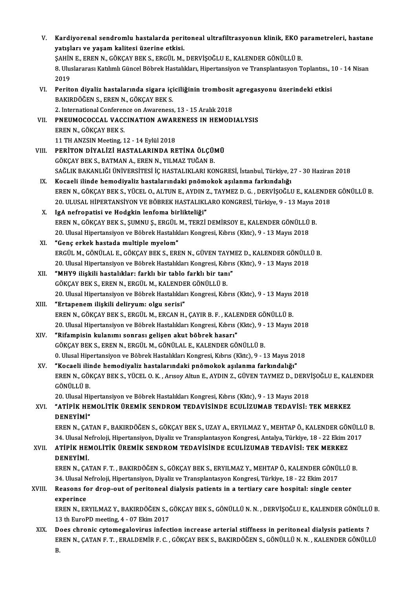| V.     | Kardiyorenal sendromlu hastalarda peritoneal ultrafiltrasyonun klinik, EKO parametreleri, hastane                          |
|--------|----------------------------------------------------------------------------------------------------------------------------|
|        | yatışları ve yaşam kalitesi üzerine etkisi.                                                                                |
|        | ŞAHİN E., EREN N., GÖKÇAY BEK S., ERGÜL M., DERVİŞOĞLU E., KALENDER GÖNÜLLÜ B.                                             |
|        | 8. Uluslararası Katılımlı Güncel Böbrek Hastalıkları, Hipertansiyon ve Transplantasyon Toplantısı., 10 - 14 Nisan          |
|        | 2019                                                                                                                       |
| VI.    | Periton diyaliz hastalarında sigara içiciliğinin trombosit agregasyonu üzerindeki etkisi                                   |
|        | BAKIRDÖĞEN S., EREN N., GÖKÇAY BEK S.                                                                                      |
|        | 2. International Conference on Awareness, 13 - 15 Aralık 2018                                                              |
| VII.   | PNEUMOCOCCAL VACCINATION AWARENESS IN HEMODIALYSIS                                                                         |
|        | EREN N., GÖKÇAY BEK S.                                                                                                     |
|        | 11 TH ANZSIN Meeting, 12 - 14 Eylül 2018                                                                                   |
| VIII.  | PERİTON DİYALİZİ HASTALARINDA RETİNA ÖLÇÜMÜ                                                                                |
|        | GÖKÇAY BEK S., BATMAN A., EREN N., YILMAZ TUĞAN B.                                                                         |
|        | SAĞLIK BAKANLIĞI ÜNİVERSİTESİ İÇ HASTALIKLARI KONGRESİ, İstanbul, Türkiye, 27 - 30 Haziran 2018                            |
| IX.    | Kocaeli ilinde hemodiyaliz hastalarındaki pnömokok aşılanma farkındalığı                                                   |
|        | EREN N., GÖKÇAY BEK S., YÜCEL O., ALTUN E., AYDIN Z., TAYMEZ D. G., DERVİŞOĞLU E., KALENDER GÖNÜLLÜ B.                     |
|        | 20. ULUSAL HİPERTANSİYON VE BÖBREK HASTALIKLARO KONGRESİ, Türkiye, 9 - 13 Mayıs 2018                                       |
| X.     | IgA nefropatisi ve Hodgkin lenfoma birlikteliği"                                                                           |
|        | EREN N., GÖKÇAY BEK S., ŞUMNU Ş., ERGÜL M., TERZİ DEMİRSOY E., KALENDER GÖNÜLLÜ B.                                         |
|        | 20. Ulusal Hipertansiyon ve Böbrek Hastalıkları Kongresi, Kıbrıs (Kktc), 9 - 13 Mayıs 2018                                 |
| XI.    | "Genç erkek hastada multiple myelom"                                                                                       |
|        | ERGÜL M., GÖNÜLAL E., GÖKÇAY BEK S., EREN N., GÜVEN TAYMEZ D., KALENDER GÖNÜLLÜ B.                                         |
|        | 20. Ulusal Hipertansiyon ve Böbrek Hastalıkları Kongresi, Kıbrıs (Kktc), 9 - 13 Mayıs 2018                                 |
| XII.   | "MHY9 ilişkili hastalıklar: farklı bir tablo farklı bir tanı"                                                              |
|        | GÖKÇAY BEK S., EREN N., ERGÜL M., KALENDER GÖNÜLLÜ B.                                                                      |
|        | 20. Ulusal Hipertansiyon ve Böbrek Hastalıkları Kongresi, Kıbrıs (Kktc), 9 - 13 Mayıs 2018                                 |
| XIII.  | "Ertapenem ilişkili deliryum: olgu serisi"<br>EREN N., GÖKÇAY BEK S., ERGÜL M., ERCAN H., ÇAYIR B. F., KALENDER GÖNÜLLÜ B. |
|        | 20. Ulusal Hipertansiyon ve Böbrek Hastalıkları Kongresi, Kıbrıs (Kktc), 9 - 13 Mayıs 2018                                 |
| XIV.   | "Rifampisin kulanımı sonrası gelişen akut böbrek hasarı"                                                                   |
|        | GÖKÇAY BEK S., EREN N., ERGÜL M., GÖNÜLAL E., KALENDER GÖNÜLLÜ B.                                                          |
|        | 0. Ulusal Hipertansiyon ve Böbrek Hastalıkları Kongresi, Kıbrıs (Kktc), 9 - 13 Mayıs 2018                                  |
| XV.    | "Kocaeli ilinde hemodiyaliz hastalarındaki pnömokok aşılanma farkındalığı"                                                 |
|        | EREN N., GÖKÇAY BEK S., YÜCEL O. K., Arısoy Altun E., AYDIN Z., GÜVEN TAYMEZ D., DERVİŞOĞLU E., KALENDER                   |
|        | GÖNÜLLÜ B.                                                                                                                 |
|        | 20. Ulusal Hipertansiyon ve Böbrek Hastalıkları Kongresi, Kıbrıs (Kktc), 9 - 13 Mayıs 2018                                 |
| XVI.   | "ATIPIK HEMOLITIK ÜREMIK SENDROM TEDAVISINDE ECULIZUMAB TEDAVISI: TEK MERKEZ                                               |
|        | DENEYİMİ"                                                                                                                  |
|        | EREN N., ÇATAN F., BAKIRDÖĞEN S., GÖKÇAY BEK S., UZAY A., ERYILMAZ Y., MEHTAP Ö., KALENDER GÖNÜLLÜ B.                      |
|        | 34. Ulusal Nefroloji, Hipertansiyon, Diyaliz ve Transplantasyon Kongresi, Antalya, Türkiye, 18 - 22 Ekim 2017              |
| XVII.  | ATİPİK HEMOLİTİK ÜREMİK SENDROM TEDAVİSİNDE ECULİZUMAB TEDAVİSİ: TEK MERKEZ                                                |
|        | DENEYİMİ.                                                                                                                  |
|        | EREN N., ÇATAN F. T., BAKIRDÖĞEN S., GÖKÇAY BEK S., ERYILMAZ Y., MEHTAP Ö., KALENDER GÖNÜLLÜ B.                            |
|        | 34. Ulusal Nefroloji, Hipertansiyon, Diyaliz ve Transplantasyon Kongresi, Türkiye, 18 - 22 Ekim 2017                       |
| XVIII. | Reasons for drop-out of peritoneal dialysis patients in a tertiary care hospital: single center                            |
|        | experince                                                                                                                  |
|        | EREN N., ERYILMAZ Y., BAKIRDÖĞEN S., GÖKÇAY BEK S., GÖNÜLLÜ N. N., DERVİŞOĞLU E., KALENDER GÖNÜLLÜ B.                      |
|        | 13 th EuroPD meeting, 4 - 07 Ekim 2017                                                                                     |
| XIX.   | Does chronic cytomegalovirus infection increase arterial stiffness in peritoneal dialysis patients ?                       |
|        | EREN N., ÇATAN F. T., ERALDEMİR F. C., GÖKÇAY BEK S., BAKIRDÖĞEN S., GÖNÜLLÜ N. N., KALENDER GÖNÜLLÜ                       |
|        | В.                                                                                                                         |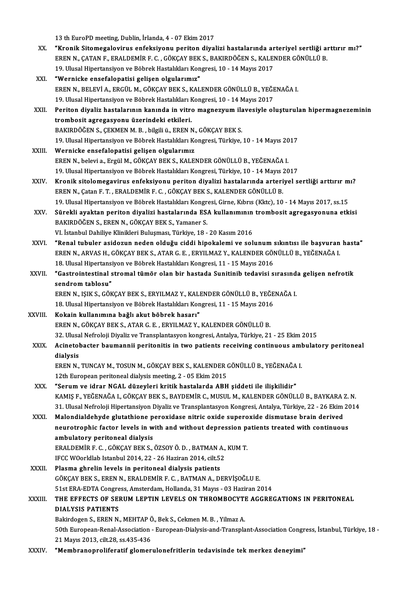13 th EuroPD meeting, Dublin, İrlanda, 4 - 07 Ekim 2017

- XX. "Kronik Sitomegalovirus enfeksiyonu periton diyalizi hastalarında arteriyel sertliği arttırır mı?" 13 th EuroPD meeting, Dublin, İrlanda, 4 - 07 Ekim 2017<br>"Kronik Sitomegalovirus enfeksiyonu periton diyalizi hastalarında arteriyel sertliği al<br>EREN N., ÇATAN F., ERALDEMİR F. C. , GÖKÇAY BEK S., BAKIRDÖĞEN S., KALENDER GÖ "Kronik Sitomegalovirus enfeksiyonu periton diyalizi hastalarında ar<br>EREN N., ÇATAN F., ERALDEMİR F. C. , GÖKÇAY BEK S., BAKIRDÖĞEN S., KALEI<br>19. Ulusal Hipertansiyon ve Böbrek Hastalıkları Kongresi, 10 - 14 Mayıs 2017<br>"Wa 19. Ulusal Hipertansiyon ve Böbrek Hastalıkları Kongresi, 10 - 14 Mayıs 2017<br>XXI. "Wernicke ensefalopatisi gelişen olgularımız"
- 19. Ulusal Hipertansiyon ve Böbrek Hastalıkları Kongresi, 10 14 Mayıs 2017<br>"Wernicke ensefalopatisi gelişen olgularımız"<br>EREN N., BELEVİ A., ERGÜL M., GÖKÇAY BEK S., KALENDER GÖNÜLLÜ B., YEĞENAĞA I.<br>19. Ulusal Hipertansi **"Wernicke ensefalopatisi gelişen olgularımız"**<br>EREN N., BELEVİ A., ERGÜL M., GÖKÇAY BEK S., KALENDER GÖNÜLLÜ B., YEĞE<br>19. Ulusal Hipertansiyon ve Böbrek Hastalıkları Kongresi, 10 - 14 Mayıs 2017<br>Peritan divaliz hastaların 19. Ulusal Hipertansiyon ve Böbrek Hastalıkları Kongresi, 10 - 14 Mayıs 2017
- XXII. Periton diyaliz hastalarının kanında in vitro magnezyum ilavesiyle oluşturulan hipermagnezeminin<br>trombosit agregasyonu üzerindeki etkileri. BAKIRDÖĞEN S., ÇEKMEN M. B., bilgili ü., EREN N., GÖKÇAY BEK S. 19. Ulusal Hipertansiyon ve Böbrek Hastalıkları Kongresi, Türkiye, 10 - 14 Mayıs 2017
- XXIII. Wernicke ensefalopatisi gelişen olgularımız EREN N., belevi a., Ergül M., GÖKÇAY BEK S., KALENDER GÖNÜLLÜ B., YEĞENAĞA I. Wernicke ensefalopatisi gelişen olgularımız<br>EREN N., belevi a., Ergül M., GÖKÇAY BEK S., KALENDER GÖNÜLLÜ B., YEĞENAĞA I.<br>19. Ulusal Hipertansiyon ve Böbrek Hastalıkları Kongresi, Türkiye, 10 - 14 Mayıs 2017<br>Knonik sitelem
- EREN N., belevi a., Ergül M., GÖKÇAY BEK S., KALENDER GÖNÜLLÜ B., YEĞENAĞA I.<br>19. Ulusal Hipertansiyon ve Böbrek Hastalıkları Kongresi, Türkiye, 10 14 Mayıs 2017<br>XXIV. Kronik sitolomegavirus enfeksiyonu periton diyalizi 19. Ulusal Hipertansiyon ve Böbrek Hastalıkları Kongresi, Türkiye, 10 - 14 Mayıs 2<br>Kronik sitolomegavirus enfeksiyonu periton diyalizi hastalarında arteri<br>EREN N., Çatan F. T. , ERALDEMİR F. C. , GÖKÇAY BEK S., KALENDER GÖ Kronik sitolomegavirus enfeksiyonu periton diyalizi hastalarında arteriyel sertliği arttırır m<br>EREN N., Çatan F. T. , ERALDEMİR F. C. , GÖKÇAY BEK S., KALENDER GÖNÜLLÜ B.<br>19. Ulusal Hipertansiyon ve Böbrek Hastalıkları Kon 19. Ulusal Hipertansiyon ve Böbrek Hastalıkları Kongresi, Girne, Kıbrıs (Kktc), 10 - 14 Mayıs 2017, ss.15
- EREN N., Çatan F. T. , ERALDEMİR F. C. , GÖKÇAY BEK S., KALENDER GÖNÜLLÜ B.<br>19. Ulusal Hipertansiyon ve Böbrek Hastalıkları Kongresi, Girne, Kıbrıs (Kktc), 10 14 Mayıs 2017, ss.15<br>XXV. Sürekli ayaktan periton diyaliz VI. İstanbul Dahiliye Klinikleri Buluşması, Türkiye, 18 - 20 Kasım 2016 BAKIRDÖĞEN S., EREN N., GÖKÇAY BEK S., Yamaner S.<br>VI. İstanbul Dahiliye Klinikleri Buluşması, Türkiye, 18 - 20 Kasım 2016<br>XXVI. "Renal tubuler asidozun neden olduğu ciddi hipokalemi ve solunum sıkıntısı ile başvuran hasta"
- VI. İstanbul Dahiliye Klinikleri Buluşması, Türkiye, 18 20 Kasım 2016<br>"Renal tubuler asidozun neden olduğu ciddi hipokalemi ve solunum sıkıntısı ile başvuran<br>EREN N., ARVAS H., GÖKÇAY BEK S., ATAR G. E. , ERYILMAZ Y., KA "Renal tubuler asidozun neden olduğu ciddi hipokalemi ve solunum :<br>EREN N., ARVAS H., GÖKÇAY BEK S., ATAR G. E. , ERYILMAZ Y., KALENDER GÖI<br>18. Ulusal Hipertansiyon ve Böbrek Hastalıkları Kongresi, 11 - 15 Mayıs 2016<br>"Cast EREN N., ARVAS H., GÖKÇAY BEK S., ATAR G. E. , ERYILMAZ Y., KALENDER GÖNÜLLÜ B., YEĞENAĞA I.<br>18. Ulusal Hipertansiyon ve Böbrek Hastalıkları Kongresi, 11 - 15 Mayıs 2016<br>XXVII. "Gastrointestinal stromal tümör olan bir hast
- 18. Ulusal Hipertansi<br>"Gastrointestinal s<br>sendrom tablosu"<br>EPEN N. ISIV S. CÖV "Gastrointestinal stromal tümör olan bir hastada Sunitinib tedavisi sırasınd<br>sendrom tablosu"<br>EREN N., IŞIK S., GÖKÇAY BEK S., ERYILMAZ Y., KALENDER GÖNÜLLÜ B., YEĞENAĞA I.<br>18 Hlusal Hinertansiyan ve Böhrek Hastalıkları Ko

sendrom tablosu"<br>EREN N., IŞIK S., GÖKÇAY BEK S., ERYILMAZ Y., KALENDER GÖNÜLLÜ B., YEĞE<br>18. Ulusal Hipertansiyon ve Böbrek Hastalıkları Kongresi, 11 - 15 Mayıs 2016<br>Kokain kullarımına bağlı akut böbrek başarı." EREN N., IŞIK S., GÖKÇAY BEK S., ERYILMAZ Y., KALI<br>18. Ulusal Hipertansiyon ve Böbrek Hastalıkları Kon<br>XXVIII. Kokain kullanımına bağlı akut böbrek hasarı"<br>EREN N. GÖKÇAY BEK S. ATAR G. E. ERYILMAZ Y

- 18. Ulusal Hipertansiyon ve Böbrek Hastalıkları Kongresi, 11 15 Mayıs 2016<br>Kokain kullanımına bağlı akut böbrek hasarı"<br>EREN N., GÖKÇAY BEK S., ATAR G. E. , ERYILMAZ Y., KALENDER GÖNÜLLÜ B. Kokain kullanımına bağlı akut böbrek hasarı"<br>EREN N., GÖKÇAY BEK S., ATAR G. E. , ERYILMAZ Y., KALENDER GÖNÜLLÜ B.<br>32. Ulusal Nefroloji Diyaliz ve Transplantasyon kongresi, Antalya, Türkiye, 21 - 25 Ekim 2015<br>Asinatabastan
- XXIX. Acinetobacter baumannii peritonitis in two patients receiving continuous ambulatory peritoneal<br>dialysis 32 Ulusa<br>Acinetol<br>dialysis<br>EREN N Acinetobacter baumannii peritonitis in two patients receiving continuous aml<br>dialysis<br>EREN N., TUNCAY M., TOSUN M., GÖKÇAY BEK S., KALENDER GÖNÜLLÜ B., YEĞENAĞA I.<br>12th European peritoneal dialysis meeting 2, . 05 Elsim 20

dialysis<br>EREN N., TUNCAY M., TOSUN M., GÖKÇAY BEK S., KALENDER (<br>12th European peritoneal dialysis meeting, 2 - 05 Ekim 2015<br>"Serum ve idnar NCAL dürevleri kritik beetalerde ABH 12th European peritoneal dialysis meeting, 2 - 05 Ekim 2015<br>XXX. "Serum ve idrar NGAL düzeyleri kritik hastalarda ABH şiddeti ile ilişkilidir"

KAMIŞ F.,YEĞENAĞAI.,GÖKÇAYBEKS.,BAYDEMİRC.,MUSULM.,KALENDERGÖNÜLLÜB.,BAYKARAZ.N. 31. Ulusal Nefroloji Hipertansiyon Diyaliz ve Transplantasyon Kongresi, Antalya, Türkiye, 22 - 26 Ekim 2014 KAMIŞ F., YEĞENAĞA I., GÖKÇAY BEK S., BAYDEMİR C., MUSUL M., KALENDER GÖNÜLLÜ B., BAYKARA 2<br>31. Ulusal Nefroloji Hipertansiyon Diyaliz ve Transplantasyon Kongresi, Antalya, Türkiye, 22 - 26 Ekim<br>XXXI. Malondialdehyde gluta

31. Ulusal Nefroloji Hipertansiyon Diyaliz ve Transplantasyon Kongresi, Antalya, Türkiye, 22 - 26 Ekim 20<br>Malondialdehyde glutathione peroxidase nitric oxide superoxide dismutase brain derived<br>neurotrophic factor levels in Malondialdehyde glutathione p<br>neurotrophic factor levels in w<br>ambulatory peritoneal dialysis<br>EPALDEMIP E C. CÖVCAV PEV S neurotrophic factor levels in with and without depression pa<br>ambulatory peritoneal dialysis<br>ERALDEMİR F.C. ,GÖKÇAY BEK S., ÖZSOY Ö. D. , BATMAN A., KUM T.<br>IECC WOorldlab Istanbul 2014, 22, 26 Haziran 2014, silt 52 ambulatory peritoneal dialysis<br>ERALDEMİR F. C. , GÖKÇAY BEK S., ÖZSOY Ö. D. , BATMAN A.,<br>IFCC WOorldlab Istanbul 2014, 22 - 26 Haziran 2014, cilt.52<br>Plasma shrelin levels in neritoneal dialysis natients

ERALDEMİR F. C., GÖKÇAY BEK S., ÖZSOY Ö. D., BATMAN A<br>IFCC WOorldlab Istanbul 2014, 22 - 26 Haziran 2014, cilt.5.<br>XXXII. Plasma ghrelin levels in peritoneal dialysis patients<br>CÖKCAY PEK S. EREN N. ERALDEMİR E. G. BATMAN A. IFCC WOorldlab Istanbul 2014, 22 - 26 Haziran 2014, cilt.52<br>Plasma ghrelin levels in peritoneal dialysis patients<br>GÖKÇAY BEK S., EREN N., ERALDEMİR F. C. , BATMAN A., DERVİŞOĞLU E.<br>51st EPA EDTA Congress Amsterdam Hollanda Plasma ghrelin levels in peritoneal dialysis patients<br>GÖKÇAY BEK S., EREN N., ERALDEMİR F. C. , BATMAN A., DERVİŞOĞLU E.<br>51st ERA-EDTA Congress, Amsterdam, Hollanda, 31 Mayıs - 03 Haziran 2014<br>THE ERRECTS OF SERIIM I ERTIN GÖKÇAY BEK S., EREN N., ERALDEMİR F. C. , BATMAN A., DERVİŞOĞLU E.<br>51st ERA-EDTA Congress, Amsterdam, Hollanda, 31 Mayıs - 03 Haziran 2014<br>XXXIII. THE EFFECTS OF SERUM LEPTIN LEVELS ON THROMBOCYTE AGGREGATIONS IN PERIT

# 51st ERA-EDTA Congre<br>THE EFFECTS OF SEI<br>DIALYSIS PATIENTS<br>Bekindogen S. EBEN N THE EFFECTS OF SERUM LEPTIN LEVELS ON THROMBOCYTI<br>DIALYSIS PATIENTS<br>Bakirdogen S., EREN N., MEHTAP Ö., Bek S., Cekmen M. B. , Yilmaz A.<br>E<sup>0th Eurongen Bonel Association - Eurongen Dialysis and Transpla</sup> 51ALYSIS PATIENTS<br>19th Bakirdogen S., EREN N., MEHTAP Ö., Bek S., Cekmen M. B. , Yilmaz A.<br>19th European-Renal-Association - European-Dialysis-and-Transplant-Association Congress, İstanbul, Türkiye, 18 21Mayıs2013, cilt.28, ss.435-436

XXXIV. "Membranoproliferatif glomerulonefritlerin tedavisinde tekmerkez deneyimi"